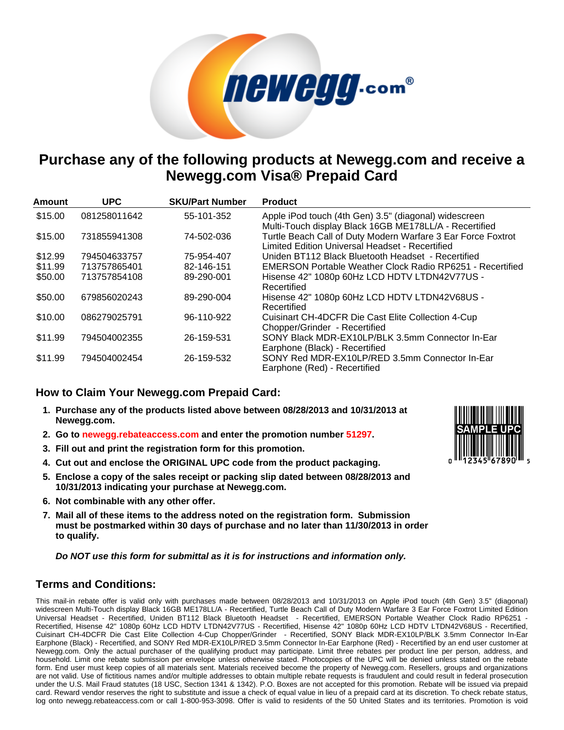## *<u>MeWeng.com®</u>*

## **Purchase any of the following products at Newegg.com and receive a Newegg.com Visa® Prepaid Card**

| Amount  | <b>UPC</b>   | <b>SKU/Part Number</b> | <b>Product</b>                                                                                                  |
|---------|--------------|------------------------|-----------------------------------------------------------------------------------------------------------------|
| \$15.00 | 081258011642 | 55-101-352             | Apple iPod touch (4th Gen) 3.5" (diagonal) widescreen<br>Multi-Touch display Black 16GB ME178LL/A - Recertified |
| \$15.00 | 731855941308 | 74-502-036             | Turtle Beach Call of Duty Modern Warfare 3 Ear Force Foxtrot<br>Limited Edition Universal Headset - Recertified |
| \$12.99 | 794504633757 | 75-954-407             | Uniden BT112 Black Bluetooth Headset - Recertified                                                              |
| \$11.99 | 713757865401 | 82-146-151             | EMERSON Portable Weather Clock Radio RP6251 - Recertified                                                       |
| \$50.00 | 713757854108 | 89-290-001             | Hisense 42" 1080p 60Hz LCD HDTV LTDN42V77US -<br>Recertified                                                    |
| \$50.00 | 679856020243 | 89-290-004             | Hisense 42" 1080p 60Hz LCD HDTV LTDN42V68US -<br>Recertified                                                    |
| \$10.00 | 086279025791 | 96-110-922             | Cuisinart CH-4DCFR Die Cast Elite Collection 4-Cup<br>Chopper/Grinder - Recertified                             |
| \$11.99 | 794504002355 | 26-159-531             | SONY Black MDR-EX10LP/BLK 3.5mm Connector In-Ear<br>Earphone (Black) - Recertified                              |
| \$11.99 | 794504002454 | 26-159-532             | SONY Red MDR-EX10LP/RED 3.5mm Connector In-Ear<br>Earphone (Red) - Recertified                                  |

## **How to Claim Your Newegg.com Prepaid Card:**

- **1. Purchase any of the products listed above between 08/28/2013 and 10/31/2013 at Newegg.com.**
- **2. Go to [newegg.rebateaccess.com](http://newegg.rebateaccess.com) and enter the promotion number 51297.**
- **3. Fill out and print the registration form for this promotion.**
- **4. Cut out and enclose the ORIGINAL UPC code from the product packaging.**
- **5. Enclose a copy of the sales receipt or packing slip dated between 08/28/2013 and 10/31/2013 indicating your purchase at Newegg.com.**
- **6. Not combinable with any other offer.**
- **7. Mail all of these items to the address noted on the registration form. Submission must be postmarked within 30 days of purchase and no later than 11/30/2013 in order to qualify.**

**Do NOT use this form for submittal as it is for instructions and information only.**

## **Terms and Conditions:**

This mail-in rebate offer is valid only with purchases made between 08/28/2013 and 10/31/2013 on Apple iPod touch (4th Gen) 3.5" (diagonal) widescreen Multi-Touch display Black 16GB ME178LL/A - Recertified, Turtle Beach Call of Duty Modern Warfare 3 Ear Force Foxtrot Limited Edition Universal Headset - Recertified, Uniden BT112 Black Bluetooth Headset - Recertified, EMERSON Portable Weather Clock Radio RP6251 - Recertified, Hisense 42" 1080p 60Hz LCD HDTV LTDN42V77US - Recertified, Hisense 42" 1080p 60Hz LCD HDTV LTDN42V68US - Recertified, Cuisinart CH-4DCFR Die Cast Elite Collection 4-Cup Chopper/Grinder - Recertified, SONY Black MDR-EX10LP/BLK 3.5mm Connector In-Ear Earphone (Black) - Recertified, and SONY Red MDR-EX10LP/RED 3.5mm Connector In-Ear Earphone (Red) - Recertified by an end user customer at Newegg.com. Only the actual purchaser of the qualifying product may participate. Limit three rebates per product line per person, address, and household. Limit one rebate submission per envelope unless otherwise stated. Photocopies of the UPC will be denied unless stated on the rebate form. End user must keep copies of all materials sent. Materials received become the property of Newegg.com. Resellers, groups and organizations are not valid. Use of fictitious names and/or multiple addresses to obtain multiple rebate requests is fraudulent and could result in federal prosecution under the U.S. Mail Fraud statutes (18 USC, Section 1341 & 1342). P.O. Boxes are not accepted for this promotion. Rebate will be issued via prepaid card. Reward vendor reserves the right to substitute and issue a check of equal value in lieu of a prepaid card at its discretion. To check rebate status, log onto newegg.rebateaccess.com or call 1-800-953-3098. Offer is valid to residents of the 50 United States and its territories. Promotion is void